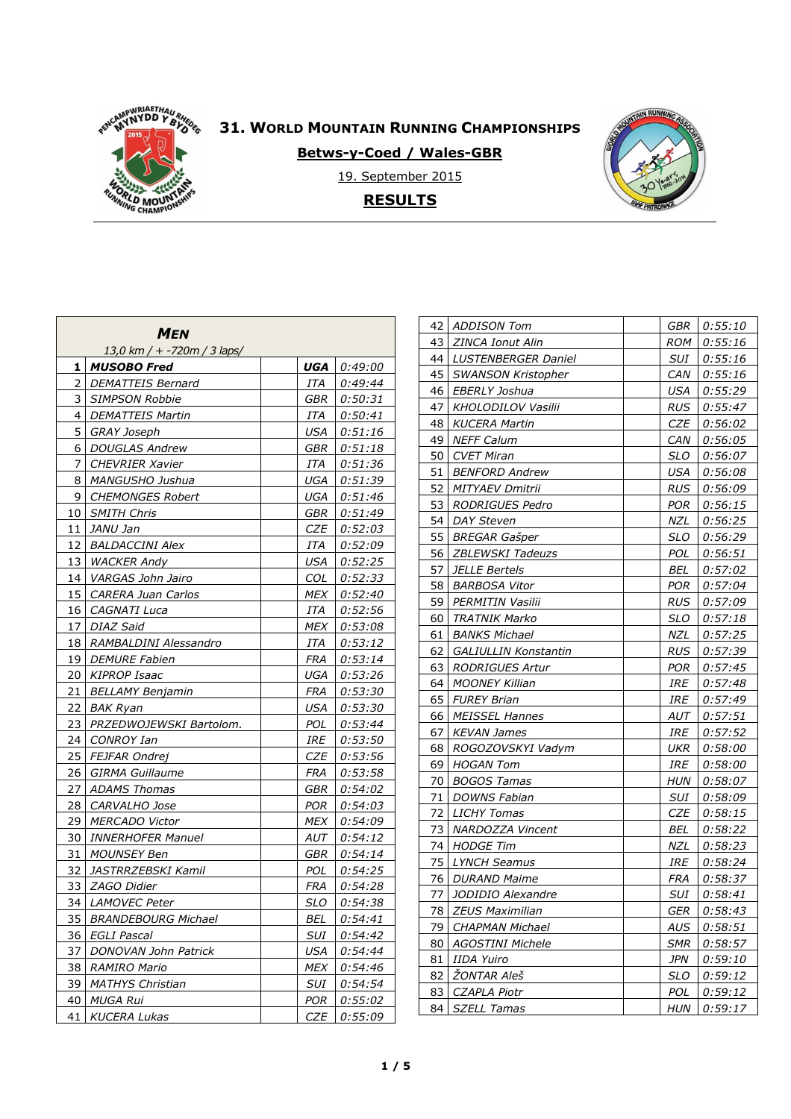

**Betws-y-Coed / Wales-GBR** 



19. September 2015

**RESULTS**

| <b>MEN</b><br>13,0 km / + -720m / 3 laps/ |                            |            |         |  |  |  |
|-------------------------------------------|----------------------------|------------|---------|--|--|--|
| 1                                         | <b>MUSOBO Fred</b>         | UGA        | 0:49:00 |  |  |  |
| 2                                         | <b>DEMATTEIS Bernard</b>   | ITA        | 0:49:44 |  |  |  |
| 3                                         | <b>SIMPSON Robbie</b>      | GBR        | 0:50:31 |  |  |  |
| 4                                         | <b>DEMATTEIS Martin</b>    | ITA        | 0:50:41 |  |  |  |
| 5                                         | <b>GRAY Joseph</b>         | USA        | 0:51:16 |  |  |  |
| 6                                         | <b>DOUGLAS Andrew</b>      | GBR        | 0:51:18 |  |  |  |
| 7                                         | <b>CHEVRIER Xavier</b>     | ITA        | 0:51:36 |  |  |  |
| 8                                         | MANGUSHO Jushua            | UGA        | 0:51:39 |  |  |  |
| 9                                         | <b>CHEMONGES Robert</b>    | UGA        | 0:51:46 |  |  |  |
| 10                                        | <b>SMITH Chris</b>         | GBR        | 0:51:49 |  |  |  |
| 11                                        | JANU Jan                   | CZE        | 0:52:03 |  |  |  |
| 12                                        | <b>BALDACCINI Alex</b>     | ITA        | 0:52:09 |  |  |  |
| 13                                        | <b>WACKER Andy</b>         | USA        | 0:52:25 |  |  |  |
| 14                                        | VARGAS John Jairo          | COL        | 0:52:33 |  |  |  |
| 15                                        | CARERA Juan Carlos         | MEX        | 0:52:40 |  |  |  |
| 16                                        | CAGNATI Luca               | ITA        | 0:52:56 |  |  |  |
| 17                                        | DIAZ Said                  | MEX        | 0:53:08 |  |  |  |
| 18                                        | RAMBALDINI Alessandro      | ITA        | 0:53:12 |  |  |  |
| 19                                        | <b>DEMURE Fabien</b>       | FRA        | 0:53:14 |  |  |  |
| 20                                        | KIPROP Isaac               | UGA        | 0:53:26 |  |  |  |
| 21                                        | <b>BELLAMY Benjamin</b>    | FRA        | 0:53:30 |  |  |  |
| 22                                        | <b>BAK Ryan</b>            | USA        | 0:53:30 |  |  |  |
| 23                                        | PRZEDWOJEWSKI Bartolom.    | POL        | 0:53:44 |  |  |  |
| 24                                        | <b>CONROY Ian</b>          | IRE        | 0:53:50 |  |  |  |
| 25                                        | FEJFAR Ondrej              | CZE        | 0:53:56 |  |  |  |
| 26                                        | <b>GIRMA Guillaume</b>     | FRA        | 0:53:58 |  |  |  |
| 27                                        | <b>ADAMS Thomas</b>        | GBR        | 0:54:02 |  |  |  |
| 28                                        | <i>CARVALHO Jose</i>       | POR        | 0:54:03 |  |  |  |
| 29                                        | <b>MERCADO Victor</b>      | MEX        | 0:54:09 |  |  |  |
| 30                                        | <b>INNERHOFER Manuel</b>   | AUT        | 0:54:12 |  |  |  |
| 31                                        | <b>MOUNSEY Ben</b>         | GBR        | 0:54:14 |  |  |  |
| 32                                        | JASTRRZEBSKI Kamil         | POL        | 0:54:25 |  |  |  |
| 33                                        | ZAGO Didier                | FRA        | 0:54:28 |  |  |  |
| 34                                        | LAMOVEC Peter              | SLO        | 0:54:38 |  |  |  |
| 35                                        | <b>BRANDEBOURG Michael</b> | BEL        | 0:54:41 |  |  |  |
| 36                                        | <b>EGLI Pascal</b>         | SUI        | 0:54:42 |  |  |  |
| 37                                        | DONOVAN John Patrick       | USA        | 0:54:44 |  |  |  |
| 38                                        | RAMIRO Mario               | MEX        | 0:54:46 |  |  |  |
| 39                                        | <b>MATHYS Christian</b>    | SUI        | 0:54:54 |  |  |  |
| 40                                        | <b>MUGA Rui</b>            | <b>POR</b> | 0:55:02 |  |  |  |
| 41                                        | <b>KUCERA Lukas</b>        | CZE        | 0:55:09 |  |  |  |

| 42 | ADDISON Tom                 | GBR        | <i>0:55:10</i> |
|----|-----------------------------|------------|----------------|
| 43 | ZINCA Ionut Alin            | ROM        | 0:55:16        |
| 44 | LUSTENBERGER Daniel         | SUI        | 0:55:16        |
| 45 | <b>SWANSON Kristopher</b>   | CAN        | 0:55:16        |
| 46 | EBERLY Joshua               | USA        | 0:55:29        |
| 47 | KHOLODILOV Vasilii          | <b>RUS</b> | 0:55:47        |
| 48 | <i>KUCERA Martin</i>        | CZE        | 0:56:02        |
| 49 | <b>NEFF Calum</b>           | CAN        | 0:56:05        |
| 50 | <b>CVET Miran</b>           | <b>SLO</b> | 0:56:07        |
| 51 | <b>BENFORD Andrew</b>       | USA        | 0:56:08        |
| 52 | <b>MITYAEV Dmitrii</b>      | <b>RUS</b> | 0:56:09        |
| 53 | RODRIGUES Pedro             | POR        | 0:56:15        |
| 54 | <b>DAY Steven</b>           | NZL        | 0:56:25        |
| 55 | <b>BREGAR Gašper</b>        | SLO        | 0:56:29        |
| 56 | <b>ZBLEWSKI Tadeuzs</b>     | POL        | 0:56:51        |
| 57 | <b>JELLE Bertels</b>        | BEL        | 0:57:02        |
| 58 | <b>BARBOSA Vitor</b>        | <b>POR</b> | 0:57:04        |
| 59 | PERMITIN Vasilii            | <b>RUS</b> | 0:57:09        |
| 60 | <b>TRATNIK Marko</b>        | SLO        | 0:57:18        |
| 61 | <b>BANKS Michael</b>        | NZL        | 0:57:25        |
| 62 | <b>GALIULLIN Konstantin</b> | RUS        | 0:57:39        |
| 63 | <b>RODRIGUES Artur</b>      | POR        | 0:57:45        |
| 64 | <b>MOONEY Killian</b>       | IRE        | 0:57:48        |
| 65 | FUREY Brian                 | IRE        | 0:57:49        |
| 66 | <i>MEISSEL Hannes</i>       | AUT        | 0:57:51        |
| 67 | KEVAN James                 | IRE        | 0:57:52        |
| 68 | ROGOZOVSKYI Vadym           | UKR        | 0:58:00        |
| 69 | HOGAN Tom                   | IRE        | <i>0:58:00</i> |
| 70 | <b>BOGOS Tamas</b>          | HUN        | 0:58:07        |
| 71 | <b>DOWNS Fabian</b>         | SUI        | 0:58:09        |
| 72 | <b>LICHY Tomas</b>          | CZE        | 0:58:15        |
| 73 | NARDOZZA Vincent            | BEL        | 0:58:22        |
| 74 | <b>HODGE Tim</b>            | NZL        | 0:58:23        |
| 75 | <b>LYNCH Seamus</b>         | IRE        | 0:58:24        |
| 76 | <b>DURAND Maime</b>         | <b>FRA</b> | 0:58:37        |
| 77 | JODIDIO Alexandre           | SUI        | 0:58:41        |
| 78 | <b>ZEUS Maximilian</b>      | <b>GER</b> | 0:58:43        |
| 79 | <b>CHAPMAN Michael</b>      | AUS        | 0:58:51        |
| 80 | <b>AGOSTINI Michele</b>     | SMR        | 0:58:57        |
| 81 | <b>IIDA Yuiro</b>           | <b>JPN</b> | 0:59:10        |
| 82 | ŽONTAR Aleš                 | SLO        | 0:59:12        |
| 83 | CZAPLA Piotr                | POL        | 0:59:12        |
| 84 | <b>SZELL Tamas</b>          | <b>HUN</b> | 0:59:17        |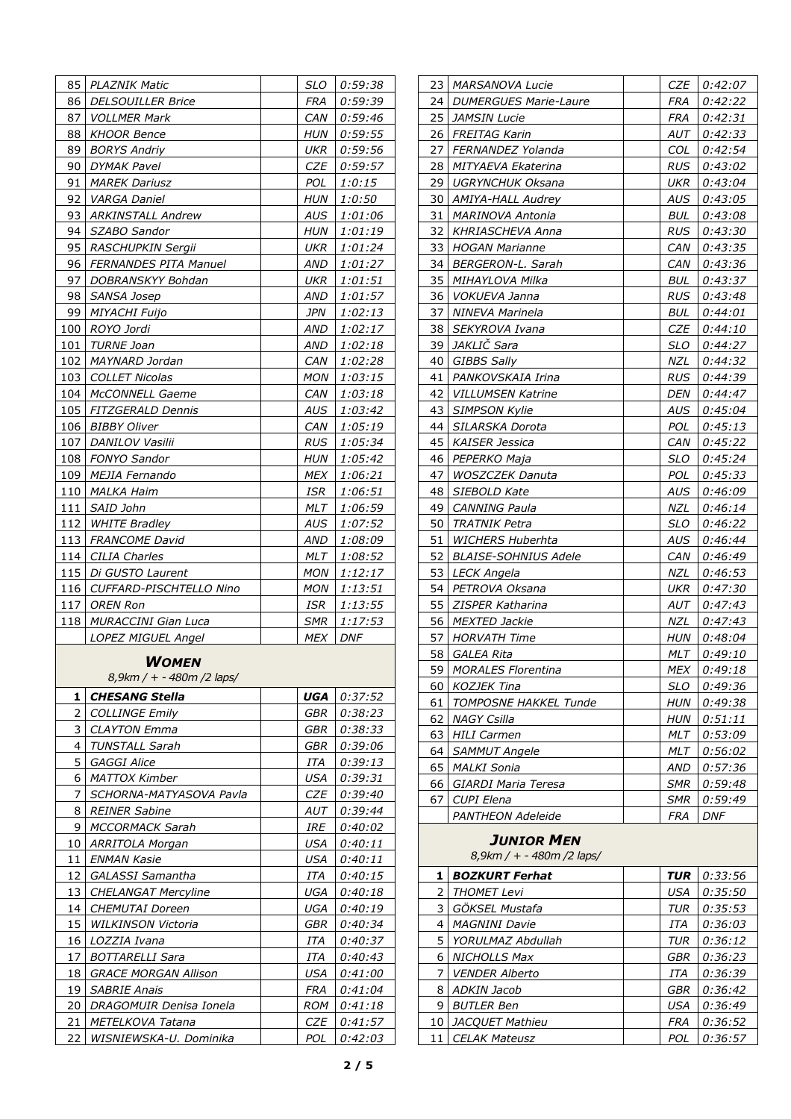|           | <b>PLAZNIK Matic</b>          | SLO        | 0:59:38            |
|-----------|-------------------------------|------------|--------------------|
| 85<br>86  | <i>DELSOUILLER Brice</i>      | FRA        | 0:59:39            |
| 87        | <b>VOLLMER Mark</b>           | CAN        | 0:59:46            |
|           |                               |            |                    |
| 88        | <b>KHOOR Bence</b>            | <b>HUN</b> | 0:59:55            |
| 89        | <b>BORYS Andriy</b>           | UKR        | 0:59:56            |
| 90        | <b>DYMAK Pavel</b>            | CZE        | 0:59:57            |
| 91        | <b>MAREK Dariusz</b>          | POL.       | 1:0:15             |
| 92        | VARGA Daniel                  | HUN        | <i>1:0:50</i>      |
| 93        | <b>ARKINSTALL Andrew</b>      | AUS        | 1:01:06            |
| 94        | SZABO Sandor                  | HUN        | 1:01:19            |
| 95        | RASCHUPKIN Sergii             | UKR        | 1:01:24            |
| 96        | <b>FERNANDES PITA Manuel</b>  | AND        | 1:01:27            |
| 97        | DOBRANSKYY Bohdan             | UKR        | 1:01:51            |
| 98        | SANSA Josep                   | AND        | 1:01:57            |
| 99        | <b>MIYACHI Fuijo</b>          | JPN        | 1:02:13            |
| 100       | ROYO Jordi                    | AND        | 1:02:17            |
| 101       | TURNE Joan                    | AND        | 1:02:18            |
| 102       | MAYNARD Jordan                | CAN        | 1:02:28            |
| 103       | <b>COLLET Nicolas</b>         | MON        | 1:03:15            |
| 104       | McCONNELL Gaeme               | CAN        | 1:03:18            |
|           | 105   FITZGERALD Dennis       | AUS        | 1:03:42            |
|           | 106   BIBBY Oliver            | CAN        | 1:05:19            |
| 107       | DANILOV Vasilii               | <b>RUS</b> | 1:05:34            |
|           | 108   FONYO Sandor            | HUN        | 1:05:42            |
|           | 109   MEJIA Fernando          | MEX        | 1:06:21            |
| 110       | MALKA Haim                    | ISR        | 1:06:51            |
| 111       | SAID John                     | MLT        | 1:06:59            |
| 112       | <b>WHITE Bradley</b>          | AUS        | 1:07:52            |
| 113       | <b>FRANCOME David</b>         | AND        |                    |
| 114       | <b>CILIA Charles</b>          | MLT        | 1:08:09<br>1:08:52 |
| 115       | Di GUSTO Laurent              | MON        | 1:12:17            |
|           |                               |            |                    |
|           |                               |            |                    |
|           | 116   CUFFARD-PISCHTELLO Nino | MON        | 1:13:51            |
| 117       | OREN Ron                      | ISR        | 1:13:55            |
|           | <b>MURACCINI Gian Luca</b>    | <b>SMR</b> | 1:17:53            |
|           | LOPEZ MIGUEL Angel            | MEX        | DNF                |
|           | WOMEN                         |            |                    |
|           | 8,9km / + - 480m /2 laps/     |            |                    |
|           |                               |            |                    |
| 1         | <b>CHESANG Stella</b>         | UGA        | 0:37:52            |
| 2         | <b>COLLINGE Emily</b>         | GBR        | 0:38:23            |
| 3         | <b>CLAYTON Emma</b>           | GBR        | 0:38:33            |
| 4         | <b>TUNSTALL Sarah</b>         | GBR        | 0:39:06            |
| 5         | <b>GAGGI Alice</b>            | ITA        | 0:39:13            |
| 6         | <b>MATTOX Kimber</b>          | USA        | 0:39:31            |
| 7         | SCHORNA-MATYASOVA Pavla       | CZE        | 0:39:40            |
| 8         | <b>REINER Sabine</b>          | AUT        | 0:39:44            |
| 9         | MCCORMACK Sarah               | IRE        | 0:40:02            |
| 10        | ARRITOLA Morgan               | USA        | 0:40:11            |
| 11        | <b>ENMAN Kasie</b>            | <b>USA</b> | 0:40:11            |
| 12        | <b>GALASSI Samantha</b>       | ITA        | 0:40:15            |
| 13        | <b>CHELANGAT Mercyline</b>    | UGA        | <i>0:40:18</i>     |
| 14        | CHEMUTAI Doreen               | UGA        | 0:40:19            |
| 15        | <i>WILKINSON Victoria</i>     | GBR        | 0:40:34            |
| 16        | LOZZIA Ivana                  | ITA        | 0:40:37            |
| 17        | <b>BOTTARELLI Sara</b>        | ITA        | 0:40:43            |
| 18        | <b>GRACE MORGAN Allison</b>   | USA        | <i>0:41:00</i>     |
| 19        | <b>SABRIE Anais</b>           | FRA        | <i>0:41:04</i>     |
| 20        | DRAGOMUIR Denisa Ionela       | ROM        | <i>0:41:18</i>     |
| 118<br>21 | METELKOVA Tatana              | CZE        | 0:41:57            |

| 23 | <i>MARSANOVA Lucie</i>                         | CZE        | 0:42:07        |
|----|------------------------------------------------|------------|----------------|
| 24 | <b>DUMERGUES Marie-Laure</b>                   | FRA        | 0:42:22        |
| 25 | <i>JAMSIN Lucie</i>                            | FRA        | 0:42:31        |
| 26 | FREITAG Karin                                  | AUT        | 0:42:33        |
| 27 | FERNANDEZ Yolanda                              | COL        | 0:42:54        |
| 28 | MITYAEVA Ekaterina                             | RUS        | 0:43:02        |
| 29 | <b>UGRYNCHUK Oksana</b>                        | UKR        | 0:43:04        |
| 30 | AMIYA-HALL Audrey                              | AUS        | 0:43:05        |
| 31 | <i>MARINOVA Antonia</i>                        | BUL        | 0:43:08        |
| 32 | <i>KHRIASCHEVA Anna</i>                        | RUS        | 0:43:30        |
| 33 | <b>HOGAN Marianne</b>                          | CAN        | 0:43:35        |
| 34 | BERGERON-L. Sarah                              | CAN        | 0:43:36        |
| 35 | MIHAYLOVA Milka                                | BUL        | 0:43:37        |
| 36 | VOKUEVA Janna                                  | <b>RUS</b> | 0:43:48        |
| 37 | <b>NINEVA Marinela</b>                         | BUL        | 0:44:01        |
| 38 | SEKYROVA Ivana                                 | CZE        | <i>0:44:10</i> |
| 39 | JAKLIČ Sara                                    | SLO        | 0:44:27        |
| 40 | <b>GIBBS Sally</b>                             | NZL        | 0:44:32        |
| 41 | PANKOVSKAIA Irina                              | RUS        | 0:44:39        |
| 42 | <b>VILLUMSEN Katrine</b>                       | DEN        | 0:44:47        |
| 43 | <b>SIMPSON Kylie</b>                           | AUS        | 0:45:04        |
| 44 | SILARSKA Dorota                                | POL        | 0:45:13        |
| 45 | <b>KAISER Jessica</b>                          | CAN        | 0:45:22        |
| 46 | PEPERKO Maja                                   | SLO        | 0:45:24        |
| 47 | <i>WOSZCZEK Danuta</i>                         | POL        | 0:45:33        |
| 48 | SIEBOLD Kate                                   | AUS        | 0:46:09        |
| 49 | CANNING Paula                                  | NZL        | 0:46:14        |
| 50 | TRATNIK Petra                                  | <b>SLO</b> | 0:46:22        |
| 51 | <i>WICHERS Huberhta</i>                        | AUS        | 0:46:44        |
| 52 | <i>BLAISE-SOHNIUS Adele</i>                    | CAN        | 0:46:49        |
| 53 | LECK Angela                                    | NZL        | 0:46:53        |
| 54 | PETROVA Oksana                                 | UKR        | 0:47:30        |
| 55 | <b>ZISPER Katharina</b>                        | AUT        | 0:47:43        |
| 56 | <b>MEXTED Jackie</b>                           | NZL        | 0:47:43        |
| 57 | <b>HORVATH Time</b>                            | HUN        | 0:48:04        |
| 58 | GALEA Rita                                     | MLT        | 0:49:10        |
| 59 | <b>MORALES Florentina</b>                      | <b>MEX</b> | 0:49:18        |
| 60 | KOZJEK Tina                                    | SLO        | 0:49:36        |
| 61 | TOMPOSNE HAKKEL Tunde                          | HUN        | 0:49:38        |
| 62 | <b>NAGY Csilla</b>                             | HUN        | 0:51:11        |
| 63 | HILI Carmen                                    | MLT        | 0:53:09        |
| 64 | <b>SAMMUT Angele</b>                           | MLT        | 0:56:02        |
| 65 | <b>MALKI Sonia</b>                             | AND        | 0:57:36        |
| 66 | <b>GIARDI Maria Teresa</b>                     | <b>SMR</b> | 0:59:48        |
| 67 | CUPI Elena                                     | SMR        | 0:59:49        |
|    | <b>PANTHEON Adeleide</b>                       | FRA        | <b>DNF</b>     |
|    | <b>JUNIOR MEN</b><br>8,9km / + - 480m /2 laps/ |            |                |

| 1  | <b>BOZKURT Ferhat</b>  | <b>TUR</b> | 0:33:56 |
|----|------------------------|------------|---------|
| 2  | <b>THOMET Levi</b>     | <b>USA</b> | 0:35:50 |
| 3  | GÖKSEL Mustafa         | TUR        | 0:35:53 |
| 4  | <b>MAGNINI Davie</b>   | ITA        | 0:36:03 |
| 5  | YORULMAZ Abdullah      | <b>TUR</b> | 0:36:12 |
| 6  | <b>NICHOLLS Max</b>    | <b>GBR</b> | 0:36:23 |
| 7  | <b>VENDER Alberto</b>  | ITA        | 0:36:39 |
| 8  | <b>ADKIN Jacob</b>     | GBR        | 0:36:42 |
| 9  | <b>BUTLER Ben</b>      | USA        | 0:36:49 |
| 10 | <b>JACOUET Mathieu</b> | <b>FRA</b> | 0:36:52 |
| 11 | <b>CELAK Mateusz</b>   | POL        | 0:36:57 |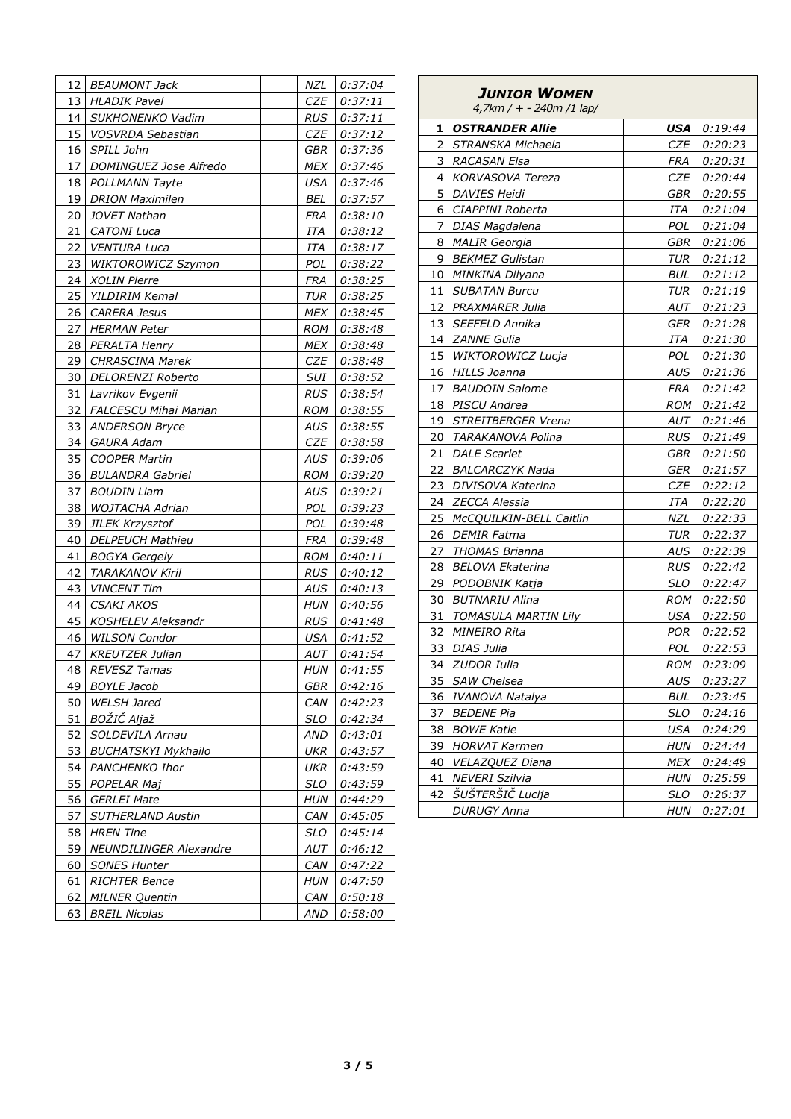| 12 I | <b>BEAUMONT Jack</b>          | NZL        | 0:37:04        |
|------|-------------------------------|------------|----------------|
| 13   | <b>HLADIK Pavel</b>           | CZE        | 0:37:11        |
| 14   | SUKHONENKO Vadim              | RUS        | 0:37:11        |
| 15   | <i>VOSVRDA Sebastian</i>      | CZE        | 0:37:12        |
| 16   | SPILL John                    | GBR        | 0:37:36        |
| 17   | DOMINGUEZ Jose Alfredo        | MEX        | 0:37:46        |
| 18   | POLLMANN Tayte                | USA        | 0:37:46        |
| 19   | <b>DRION Maximilen</b>        | BEL        | 0:37:57        |
| 20   | JOVET Nathan                  | FRA        | 0:38:10        |
| 21   | <b>CATONI Luca</b>            | ITA        | 0:38:12        |
| 22   | <b>VENTURA Luca</b>           | ITA        | 0:38:17        |
| 23   | <b>WIKTOROWICZ Szymon</b>     | POL        | 0:38:22        |
| 24   | <b>XOLIN Pierre</b>           | FRA        | 0:38:25        |
| 25   | YILDIRIM Kemal                | TUR        | 0:38:25        |
| 26   | <i>CARERA Jesus</i>           | MEX        | 0:38:45        |
| 27   | <i><b>HERMAN Peter</b></i>    | ROM        | 0:38:48        |
| 28   | PERALTA Henry                 | MEX        | 0:38:48        |
| 29   | <b>CHRASCINA Marek</b>        | CZE        | 0:38:48        |
| 30   | DELORENZI Roberto             | SUI        | 0:38:52        |
| 31   | Lavrikov Evgenii              | <b>RUS</b> | 0:38:54        |
| 32   | <b>FALCESCU Mihai Marian</b>  | ROM        | 0:38:55        |
| 33   | <b>ANDERSON Bryce</b>         | AUS        | 0:38:55        |
| 34   | <b>GAURA Adam</b>             | CZE        | 0:38:58        |
| 35   | <b>COOPER Martin</b>          | AUS        | 0:39:06        |
| 36   | <b>BULANDRA Gabriel</b>       | ROM        | 0:39:20        |
| 37   | BOUDIN Liam                   | AUS        | 0:39:21        |
| 38   | <i>WOJTACHA Adrian</i>        | POL        | 0:39:23        |
| 39   | <b>JILEK Krzysztof</b>        | POL        | 0:39:48        |
| 40   | <b>DELPEUCH Mathieu</b>       | FRA        | 0:39:48        |
| 41   | <b>BOGYA Gergely</b>          | ROM        | 0:40:11        |
| 42   | <b>TARAKANOV Kiril</b>        | RUS        | <i>0:40:12</i> |
| 43   | <b>VINCENT Tim</b>            | AUS        | 0:40:13        |
| 44   | <b>CSAKI AKOS</b>             | HUN        | 0:40:56        |
| 45   | <b>KOSHELEV Aleksandr</b>     | RUS        | 0:41:48        |
| 46   | <b>WILSON Condor</b>          | USA        | 0:41:52        |
| 47   | <b>KREUTZER Julian</b>        | AUT        | 0:41:54        |
| 48   | REVESZ Tamas                  | HUN        | 0:41:55        |
| 49   | <b>BOYLE Jacob</b>            | GBR        | 0:42:16        |
| 50   | <b>WELSH Jared</b>            | CAN        | 0:42:23        |
| 51   | BOŽIČ Aljaž                   | <b>SLO</b> | 0:42:34        |
| 52   | SOLDEVILA Arnau               | <b>AND</b> | 0:43:01        |
| 53   | <b>BUCHATSKYI Mykhailo</b>    | UKR        | 0:43:57        |
| 54   | PANCHENKO Ihor                | UKR        | 0:43:59        |
| 55   | POPELAR Maj                   | SLO        | 0:43:59        |
| 56   | <b>GERLEI Mate</b>            | <b>HUN</b> | 0:44:29        |
| 57   | <b>SUTHERLAND Austin</b>      | CAN        | 0:45:05        |
| 58   | <b>HREN Tine</b>              | SLO        | 0:45:14        |
| 59   | <b>NEUNDILINGER Alexandre</b> | AUT        | 0:46:12        |
| 60   | <b>SONES Hunter</b>           | CAN        | 0:47:22        |
| 61   | <b>RICHTER Bence</b>          | HUN        | 0:47:50        |
| 62   | <b>MILNER Quentin</b>         | CAN        | 0:50:18        |
| 63   | <b>BREIL Nicolas</b>          | AND        | 0:58:00        |

| JUNIOR WOMEN<br>$4,7km / + -240m / 1$ lap/ |                             |  |            |                |  |  |
|--------------------------------------------|-----------------------------|--|------------|----------------|--|--|
| 1                                          | <b>OSTRANDER Allie</b>      |  | USA        | 0:19:44        |  |  |
| 2                                          | STRANSKA Michaela           |  | CZE        | 0:20:23        |  |  |
| 3                                          | <b>RACASAN Elsa</b>         |  | FRA        | 0:20:31        |  |  |
| 4                                          | KORVASOVA Tereza            |  | CZE        | 0:20:44        |  |  |
| 5                                          | <b>DAVIES Heidi</b>         |  | GBR        | 0:20:55        |  |  |
| 6                                          | CIAPPINI Roberta            |  | ITA        | 0:21:04        |  |  |
| 7                                          | DIAS Magdalena              |  | POL        | 0:21:04        |  |  |
| 8                                          | <b>MALIR</b> Georgia        |  | GBR        | 0:21:06        |  |  |
| 9                                          | <b>BEKMEZ Gulistan</b>      |  | TUR        | 0:21:12        |  |  |
| 10                                         | MINKINA Dilyana             |  | BUL        | 0:21:12        |  |  |
| 11                                         | <b>SUBATAN Burcu</b>        |  | TUR        | 0:21:19        |  |  |
| 12                                         | PRAXMARER Julia             |  | AUT        | 0:21:23        |  |  |
| 13                                         | SEEFELD Annika              |  | GER        | 0:21:28        |  |  |
| 14                                         | <b>ZANNE Gulia</b>          |  | ITA        | <i>0:21:30</i> |  |  |
| 15                                         | <i>WIKTOROWICZ Lucja</i>    |  | POL.       | 0:21:30        |  |  |
| 16                                         | HILLS Joanna                |  | AUS        | 0:21:36        |  |  |
| 17                                         | <b>BAUDOIN Salome</b>       |  | FRA        | 0:21:42        |  |  |
| 18                                         | PISCU Andrea                |  | ROM        | 0:21:42        |  |  |
|                                            | 19   STREITBERGER Vrena     |  | AUT        | 0:21:46        |  |  |
| 20 I                                       | TARAKANOVA Polina           |  | RUS        | 0:21:49        |  |  |
| 21                                         | <b>DALE Scarlet</b>         |  | GBR        | 0:21:50        |  |  |
| 22                                         | <b>BALCARCZYK Nada</b>      |  | GER        | 0:21:57        |  |  |
| 23                                         | DIVISOVA Katerina           |  | CZE        | 0:22:12        |  |  |
| 24                                         | <i>ZECCA Alessia</i>        |  | ITA        | 0:22:20        |  |  |
| 25                                         | McCQUILKIN-BELL Caitlin     |  | NZL        | 0:22:33        |  |  |
| 26                                         | <i>DEMIR Fatma</i>          |  | TUR        | 0:22:37        |  |  |
| 27                                         | THOMAS Brianna              |  | AUS        | 0:22:39        |  |  |
| 28                                         | BELOVA Ekaterina            |  | RUS        | 0:22:42        |  |  |
| 29                                         | PODOBNIK Katja              |  | <b>SLO</b> | 0:22:47        |  |  |
| 30                                         | <b>BUTNARIU Alina</b>       |  | ROM        | 0:22:50        |  |  |
| 31                                         | <b>TOMASULA MARTIN Lily</b> |  | USA        | 0:22:50        |  |  |
| 32                                         | <b>MINEIRO Rita</b>         |  | POR        | 0:22:52        |  |  |
| 33                                         | <b>DIAS Julia</b>           |  | POL        | 0:22:53        |  |  |
| 34                                         | <b>ZUDOR Iulia</b>          |  | ROM        | 0:23:09        |  |  |
| 35                                         | SAW Chelsea                 |  | AUS        | <u>0:23:27</u> |  |  |
| 36                                         | IVANOVA Natalya             |  | BUL        | 0:23:45        |  |  |
| 37                                         | <b>BEDENE Pia</b>           |  | <b>SLO</b> | 0:24:16        |  |  |
| 38                                         | <b>BOWE Katie</b>           |  | USA        | 0:24:29        |  |  |
| 39                                         | <b>HORVAT Karmen</b>        |  | HUN        | 0:24:44        |  |  |
| 40                                         | VELAZQUEZ Diana             |  | MEX        | 0:24:49        |  |  |
| 41                                         | <b>NEVERI Szilvia</b>       |  | <b>HUN</b> | 0:25:59        |  |  |
| 42                                         | ŠUŠTERŠIČ Lucija            |  | <b>SLO</b> | 0:26:37        |  |  |
|                                            | DURUGY Anna                 |  | HUN        | <i>0:27:01</i> |  |  |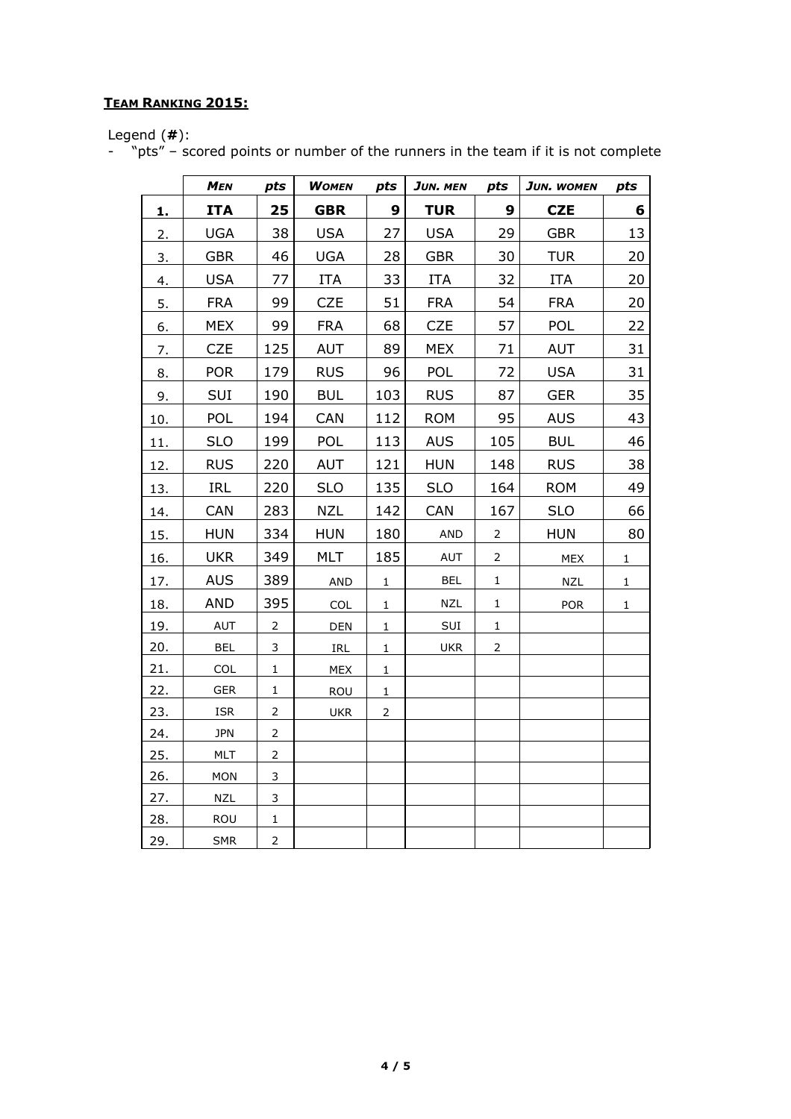## **TEAM RANKING 2015:**

Legend (**#**):

- "pts" – scored points or number of the runners in the team if it is not complete

|     | <b>MEN</b> | pts            | <b>WOMEN</b>                       | pts            | JUN. MEN   | pts            | JUN. WOMEN | pts          |
|-----|------------|----------------|------------------------------------|----------------|------------|----------------|------------|--------------|
| 1.  | <b>ITA</b> | 25             | <b>GBR</b>                         | 9              | <b>TUR</b> | 9              | <b>CZE</b> | 6            |
| 2.  | <b>UGA</b> | 38             | <b>USA</b>                         | 27             | <b>USA</b> | 29             | <b>GBR</b> | 13           |
| 3.  | <b>GBR</b> | 46             | <b>UGA</b>                         | 28             | <b>GBR</b> | 30             | <b>TUR</b> | 20           |
| 4.  | <b>USA</b> | 77             | <b>ITA</b>                         | 33             | <b>ITA</b> | 32             | <b>ITA</b> | 20           |
| 5.  | <b>FRA</b> | 99             | <b>CZE</b>                         | 51             | <b>FRA</b> | 54             | <b>FRA</b> | 20           |
| 6.  | <b>MEX</b> | 99             | <b>FRA</b>                         | 68             | CZE        | 57             | <b>POL</b> | 22           |
| 7.  | <b>CZE</b> | 125            | <b>AUT</b>                         | 89             | <b>MEX</b> | 71             | <b>AUT</b> | 31           |
| 8.  | <b>POR</b> | 179            | <b>RUS</b>                         | 96             | <b>POL</b> | 72             | <b>USA</b> | 31           |
| 9.  | SUI        | 190            | <b>BUL</b>                         | 103            | <b>RUS</b> | 87             | <b>GER</b> | 35           |
| 10. | POL        | 194            | CAN                                | 112            | <b>ROM</b> | 95             | <b>AUS</b> | 43           |
| 11. | <b>SLO</b> | 199            | POL                                | 113            | <b>AUS</b> | 105            | <b>BUL</b> | 46           |
| 12. | <b>RUS</b> | 220            | <b>AUT</b>                         | 121            | <b>HUN</b> | 148            | <b>RUS</b> | 38           |
| 13. | <b>IRL</b> | 220            | <b>SLO</b>                         | 135            | <b>SLO</b> | 164            | <b>ROM</b> | 49           |
| 14. | CAN        | 283            | <b>NZL</b>                         | 142            | CAN        | 167            | <b>SLO</b> | 66           |
| 15. | <b>HUN</b> | 334            | <b>HUN</b>                         | 180            | <b>AND</b> | 2              | <b>HUN</b> | 80           |
| 16. | <b>UKR</b> | 349            | <b>MLT</b>                         | 185            | <b>AUT</b> | 2              | <b>MEX</b> | $\mathbf{1}$ |
| 17. | <b>AUS</b> | 389            | <b>AND</b>                         | $\mathbf 1$    | <b>BEL</b> | $\mathbf 1$    | <b>NZL</b> | $\mathbf 1$  |
| 18. | <b>AND</b> | 395            | COL                                | $\mathbf{1}$   | <b>NZL</b> | 1              | <b>POR</b> | $\mathbf{1}$ |
| 19. | <b>AUT</b> | $\overline{2}$ | DEN                                | $\mathbf 1$    | SUI        | 1              |            |              |
| 20. | <b>BEL</b> | 3              | $\ensuremath{\mathsf{IRL}}\xspace$ | $\mathbf 1$    | <b>UKR</b> | $\overline{2}$ |            |              |
| 21. | COL        | $\mathbf 1$    | MEX                                | $\mathbf{1}$   |            |                |            |              |
| 22. | <b>GER</b> | 1              | ROU                                | $1\,$          |            |                |            |              |
| 23. | <b>ISR</b> | $\overline{2}$ | <b>UKR</b>                         | $\overline{2}$ |            |                |            |              |
| 24. | <b>JPN</b> | $\overline{2}$ |                                    |                |            |                |            |              |
| 25. | <b>MLT</b> | $\overline{2}$ |                                    |                |            |                |            |              |
| 26. | MON        | 3              |                                    |                |            |                |            |              |
| 27. | <b>NZL</b> | 3              |                                    |                |            |                |            |              |
| 28. | ROU        | $\mathbf 1$    |                                    |                |            |                |            |              |
| 29. | <b>SMR</b> | $\overline{2}$ |                                    |                |            |                |            |              |